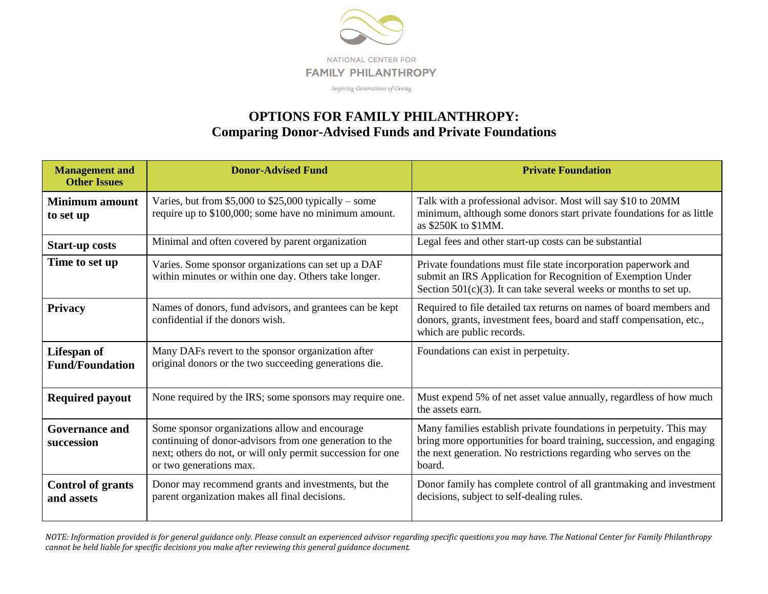

## **OPTIONS FOR FAMILY PHILANTHROPY: Comparing Donor-Advised Funds and Private Foundations**

| <b>Management</b> and<br><b>Other Issues</b> | <b>Donor-Advised Fund</b>                                                                                                                                                                           | <b>Private Foundation</b>                                                                                                                                                                                                  |
|----------------------------------------------|-----------------------------------------------------------------------------------------------------------------------------------------------------------------------------------------------------|----------------------------------------------------------------------------------------------------------------------------------------------------------------------------------------------------------------------------|
| <b>Minimum</b> amount<br>to set up           | Varies, but from $$5,000$ to $$25,000$ typically – some<br>require up to \$100,000; some have no minimum amount.                                                                                    | Talk with a professional advisor. Most will say \$10 to 20MM<br>minimum, although some donors start private foundations for as little<br>as \$250K to \$1MM.                                                               |
| <b>Start-up costs</b>                        | Minimal and often covered by parent organization                                                                                                                                                    | Legal fees and other start-up costs can be substantial                                                                                                                                                                     |
| Time to set up                               | Varies. Some sponsor organizations can set up a DAF<br>within minutes or within one day. Others take longer.                                                                                        | Private foundations must file state incorporation paperwork and<br>submit an IRS Application for Recognition of Exemption Under<br>Section $501(c)(3)$ . It can take several weeks or months to set up.                    |
| <b>Privacy</b>                               | Names of donors, fund advisors, and grantees can be kept<br>confidential if the donors wish.                                                                                                        | Required to file detailed tax returns on names of board members and<br>donors, grants, investment fees, board and staff compensation, etc.,<br>which are public records.                                                   |
| Lifespan of<br><b>Fund/Foundation</b>        | Many DAFs revert to the sponsor organization after<br>original donors or the two succeeding generations die.                                                                                        | Foundations can exist in perpetuity.                                                                                                                                                                                       |
| <b>Required payout</b>                       | None required by the IRS; some sponsors may require one.                                                                                                                                            | Must expend 5% of net asset value annually, regardless of how much<br>the assets earn.                                                                                                                                     |
| <b>Governance and</b><br>succession          | Some sponsor organizations allow and encourage<br>continuing of donor-advisors from one generation to the<br>next; others do not, or will only permit succession for one<br>or two generations max. | Many families establish private foundations in perpetuity. This may<br>bring more opportunities for board training, succession, and engaging<br>the next generation. No restrictions regarding who serves on the<br>board. |
| <b>Control of grants</b><br>and assets       | Donor may recommend grants and investments, but the<br>parent organization makes all final decisions.                                                                                               | Donor family has complete control of all grantmaking and investment<br>decisions, subject to self-dealing rules.                                                                                                           |

*NOTE: Information provided is for general guidance only. Please consult an experienced advisor regarding specific questions you may have. The National Center for Family Philanthropy cannot be held liable for specific decisions you make after reviewing this general guidance document.*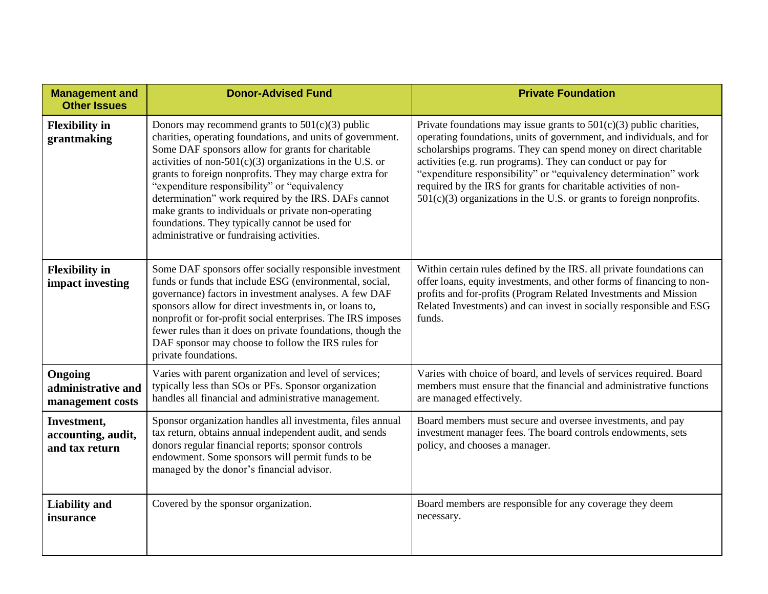| <b>Management and</b><br><b>Other Issues</b>        | <b>Donor-Advised Fund</b>                                                                                                                                                                                                                                                                                                                                                                                                                                                                                                                                     | <b>Private Foundation</b>                                                                                                                                                                                                                                                                                                                                                                                                                                                                          |
|-----------------------------------------------------|---------------------------------------------------------------------------------------------------------------------------------------------------------------------------------------------------------------------------------------------------------------------------------------------------------------------------------------------------------------------------------------------------------------------------------------------------------------------------------------------------------------------------------------------------------------|----------------------------------------------------------------------------------------------------------------------------------------------------------------------------------------------------------------------------------------------------------------------------------------------------------------------------------------------------------------------------------------------------------------------------------------------------------------------------------------------------|
| <b>Flexibility</b> in<br>grantmaking                | Donors may recommend grants to $501(c)(3)$ public<br>charities, operating foundations, and units of government.<br>Some DAF sponsors allow for grants for charitable<br>activities of non- $501(c)(3)$ organizations in the U.S. or<br>grants to foreign nonprofits. They may charge extra for<br>"expenditure responsibility" or "equivalency"<br>determination" work required by the IRS. DAFs cannot<br>make grants to individuals or private non-operating<br>foundations. They typically cannot be used for<br>administrative or fundraising activities. | Private foundations may issue grants to $501(c)(3)$ public charities,<br>operating foundations, units of government, and individuals, and for<br>scholarships programs. They can spend money on direct charitable<br>activities (e.g. run programs). They can conduct or pay for<br>"expenditure responsibility" or "equivalency determination" work<br>required by the IRS for grants for charitable activities of non-<br>$501(c)(3)$ organizations in the U.S. or grants to foreign nonprofits. |
| <b>Flexibility</b> in<br>impact investing           | Some DAF sponsors offer socially responsible investment<br>funds or funds that include ESG (environmental, social,<br>governance) factors in investment analyses. A few DAF<br>sponsors allow for direct investments in, or loans to,<br>nonprofit or for-profit social enterprises. The IRS imposes<br>fewer rules than it does on private foundations, though the<br>DAF sponsor may choose to follow the IRS rules for<br>private foundations.                                                                                                             | Within certain rules defined by the IRS. all private foundations can<br>offer loans, equity investments, and other forms of financing to non-<br>profits and for-profits (Program Related Investments and Mission<br>Related Investments) and can invest in socially responsible and ESG<br>funds.                                                                                                                                                                                                 |
| Ongoing<br>administrative and<br>management costs   | Varies with parent organization and level of services;<br>typically less than SOs or PFs. Sponsor organization<br>handles all financial and administrative management.                                                                                                                                                                                                                                                                                                                                                                                        | Varies with choice of board, and levels of services required. Board<br>members must ensure that the financial and administrative functions<br>are managed effectively.                                                                                                                                                                                                                                                                                                                             |
| Investment,<br>accounting, audit,<br>and tax return | Sponsor organization handles all investmenta, files annual<br>tax return, obtains annual independent audit, and sends<br>donors regular financial reports; sponsor controls<br>endowment. Some sponsors will permit funds to be<br>managed by the donor's financial advisor.                                                                                                                                                                                                                                                                                  | Board members must secure and oversee investments, and pay<br>investment manager fees. The board controls endowments, sets<br>policy, and chooses a manager.                                                                                                                                                                                                                                                                                                                                       |
| <b>Liability</b> and<br>insurance                   | Covered by the sponsor organization.                                                                                                                                                                                                                                                                                                                                                                                                                                                                                                                          | Board members are responsible for any coverage they deem<br>necessary.                                                                                                                                                                                                                                                                                                                                                                                                                             |